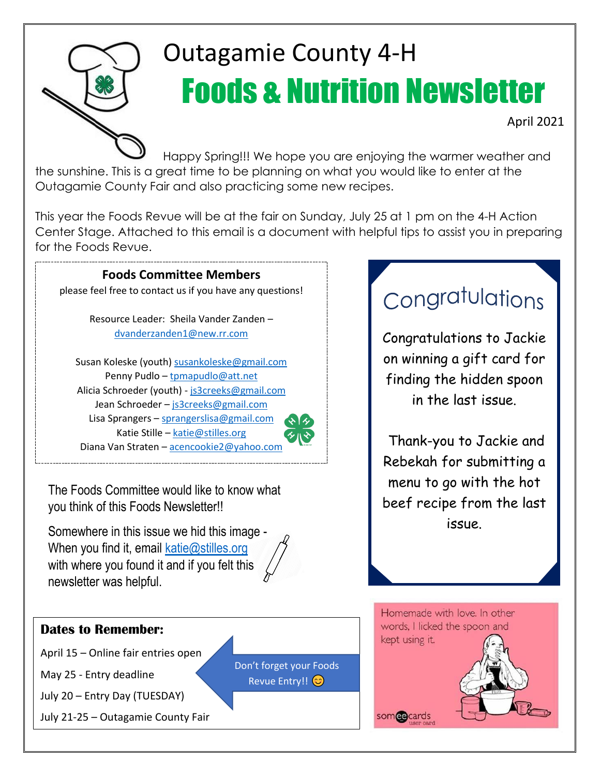

# Outagamie County 4-H Foods & Nutrition Newsletter

April 2021

Happy Spring!!! We hope you are enjoying the warmer weather and the sunshine. This is a great time to be planning on what you would like to enter at the Outagamie County Fair and also practicing some new recipes.

This year the Foods Revue will be at the fair on Sunday, July 25 at 1 pm on the 4-H Action Center Stage. Attached to this email is a document with helpful tips to assist you in preparing for the Foods Revue.

## **Foods Committee Members**

please feel free to contact us if you have any questions!

Resource Leader: Sheila Vander Zanden – [dvanderzanden1@new.rr.com](mailto:dvanderzanden1@new.rr.com)

Susan Koleske (youth) [susankoleske@gmail.com](mailto:susankoleske@gmail.com) Penny Pudlo – [tpmapudlo@att.net](mailto:tpmapudlo@att.net) Alicia Schroeder (youth) - [js3creeks@gmail.com](mailto:js3creeks@gmail.com) Jean Schroeder - [js3creeks@gmail.com](mailto:js3creeks@gmail.com) Lisa Sprangers – [sprangerslisa@gmail.com](mailto:sprangerslisa@gmail.com) Katie Stille – [katie@stilles.org](mailto:katie@stilles.org) Diana Van Straten – [acencookie2@yahoo.com](mailto:acencookie2@yahoo.com)

The Foods Committee would like to know what you think of this Foods Newsletter!!

Somewhere in this issue we hid this image - When you find it, email  $katic@stilles.org$ with where you found it and if you felt this newsletter was helpful.

# Congratulations

Congratulations to Jackie on winning a gift card for finding the hidden spoon in the last issue.

Thank-you to Jackie and Rebekah for submitting a menu to go with the hot beef recipe from the last issue.

### **Dates to Remember:** April 15 – Online fair entries open May 25 - Entry deadline July 20 – Entry Day (TUESDAY) July 21-25 – Outagamie County Fair Don't forget your Foods Revue Entry!!

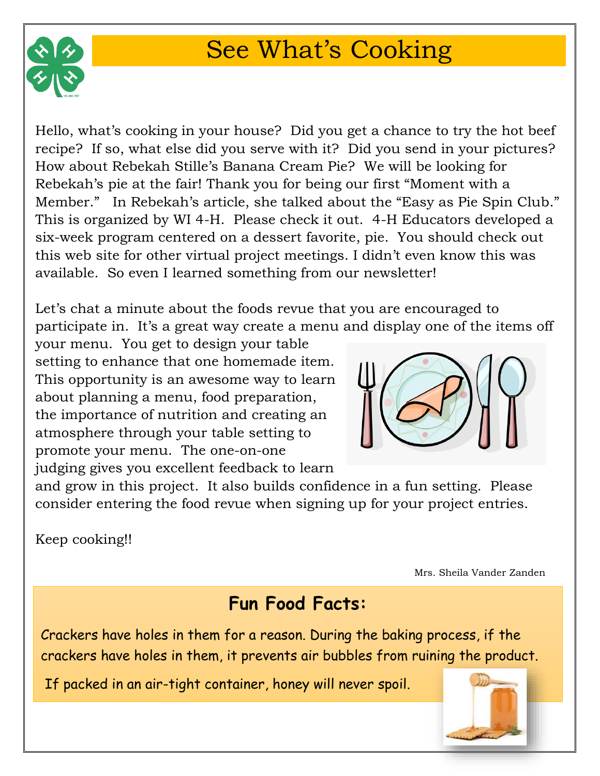

# See What's Cooking

Hello, what's cooking in your house? Did you get a chance to try the hot beef recipe? If so, what else did you serve with it? Did you send in your pictures? How about Rebekah Stille's Banana Cream Pie? We will be looking for Rebekah's pie at the fair! Thank you for being our first "Moment with a Member." In Rebekah's article, she talked about the "Easy as Pie Spin Club." This is organized by WI 4-H. Please check it out. 4-H Educators developed a six-week program centered on a dessert favorite, pie. You should check out this web site for other virtual project meetings. I didn't even know this was available. So even I learned something from our newsletter!

Let's chat a minute about the foods revue that you are encouraged to participate in. It's a great way create a menu and display one of the items off

your menu. You get to design your table setting to enhance that one homemade item. This opportunity is an awesome way to learn about planning a menu, food preparation, the importance of nutrition and creating an atmosphere through your table setting to promote your menu. The one-on-one judging gives you excellent feedback to learn



and grow in this project. It also builds confidence in a fun setting. Please consider entering the food revue when signing up for your project entries.

Keep cooking!!

Mrs. Sheila Vander Zanden

## **Fun Food Facts:**

Crackers have holes in them for a reason. During the baking process, if the crackers have holes in them, it prevents air bubbles from ruining the product.

If packed in an air-tight container, honey will never spoil.

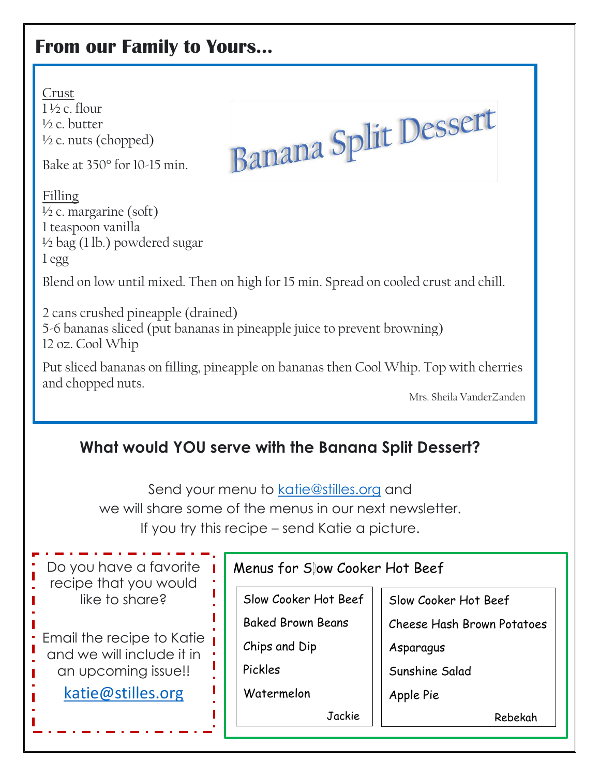## **From our Family to Yours…**

Crust  $1\frac{1}{2}$  c. flour ½ c. butter  $\frac{1}{2}$  c. nuts (chopped)

Bake at  $350^\circ$  for  $10-15$  min.

Filling  $\frac{1}{2}$  c. margarine (soft) 1 teaspoon vanilla ½ bag (1 lb.) powdered sugar 1 egg

Blend on low until mixed. Then on high for 15 min. Spread on cooled crust and chill.

Banana Split Dessert

2 cans crushed pineapple (drained) 5-6 bananas sliced (put bananas in pineapple juice to prevent browning) 12 oz. Cool Whip

Put sliced bananas on filling, pineapple on bananas then Cool Whip. Top with cherries and chopped nuts.

Mrs. Sheila VanderZanden

## **What would YOU serve with the Banana Split Dessert?**

Send your menu to [katie@stilles.org](mailto:katie@stilles.org) and we will share some of the menus in our next newsletter. If you try this recipe – send Katie a picture.

| Do you have a favorite<br>recipe that you would                                                                        | Menus for Slow Cooker Hot Beef                                                                       |                                                                                                           |  |  |  |  |  |  |  |
|------------------------------------------------------------------------------------------------------------------------|------------------------------------------------------------------------------------------------------|-----------------------------------------------------------------------------------------------------------|--|--|--|--|--|--|--|
| like to share?<br>• Email the recipe to Katie<br>and we will include it in<br>an upcoming issue!!<br>katie@stilles.org | Slow Cooker Hot Beef<br><b>Baked Brown Beans</b><br>Chips and Dip<br>Pickles<br>Watermelon<br>Jackie | Slow Cooker Hot Beef<br>Cheese Hash Brown Potatoes<br>Asparagus<br>Sunshine Salad<br>Apple Pie<br>Rebekah |  |  |  |  |  |  |  |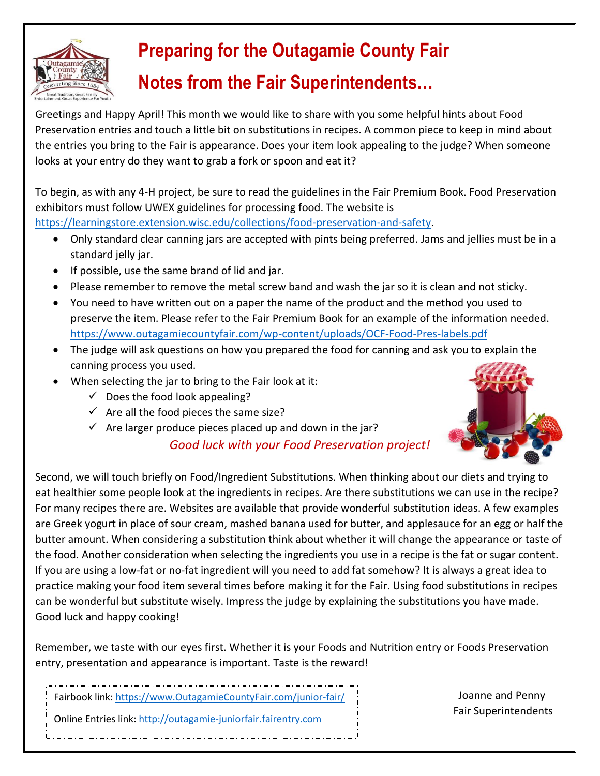

# **Preparing for the Outagamie County Fair**

## **Notes from the Fair Superintendents…**

Greetings and Happy April! This month we would like to share with you some helpful hints about Food Preservation entries and touch a little bit on substitutions in recipes. A common piece to keep in mind about the entries you bring to the Fair is appearance. Does your item look appealing to the judge? When someone looks at your entry do they want to grab a fork or spoon and eat it?

To begin, as with any 4-H project, be sure to read the guidelines in the Fair Premium Book. Food Preservation exhibitors must follow UWEX guidelines for processing food. The website is

[https://learningstore.extension.wisc.edu/collections/food-preservation-and-safety.](https://learningstore.extension.wisc.edu/collections/food-preservation-and-safety)

- Only standard clear canning jars are accepted with pints being preferred. Jams and jellies must be in a standard jelly jar.
- If possible, use the same brand of lid and jar.
- Please remember to remove the metal screw band and wash the jar so it is clean and not sticky.
- You need to have written out on a paper the name of the product and the method you used to preserve the item. Please refer to the Fair Premium Book for an example of the information needed. <https://www.outagamiecountyfair.com/wp-content/uploads/OCF-Food-Pres-labels.pdf>
- The judge will ask questions on how you prepared the food for canning and ask you to explain the canning process you used.
- When selecting the jar to bring to the Fair look at it:
	- $\checkmark$  Does the food look appealing?
	- $\checkmark$  Are all the food pieces the same size?
	- $\checkmark$  Are larger produce pieces placed up and down in the jar?

## *Good luck with your Food Preservation project!*

Second, we will touch briefly on Food/Ingredient Substitutions. When thinking about our diets and trying to eat healthier some people look at the ingredients in recipes. Are there substitutions we can use in the recipe? For many recipes there are. Websites are available that provide wonderful substitution ideas. A few examples are Greek yogurt in place of sour cream, mashed banana used for butter, and applesauce for an egg or half the butter amount. When considering a substitution think about whether it will change the appearance or taste of the food. Another consideration when selecting the ingredients you use in a recipe is the fat or sugar content. If you are using a low-fat or no-fat ingredient will you need to add fat somehow? It is always a great idea to practice making your food item several times before making it for the Fair. Using food substitutions in recipes can be wonderful but substitute wisely. Impress the judge by explaining the substitutions you have made. Good luck and happy cooking!

Remember, we taste with our eyes first. Whether it is your Foods and Nutrition entry or Foods Preservation entry, presentation and appearance is important. Taste is the reward!

Fairbook link: [https://www.OutagamieCountyFair.com/junior-fair/](https://www.outagamiecountyfair.com/junior-fair/)

Online Entries link[: http://outagamie-juniorfair.fairentry.com](http://outagamie-juniorfair.fairentry.com/)

Joanne and Penny Fair Superintendents

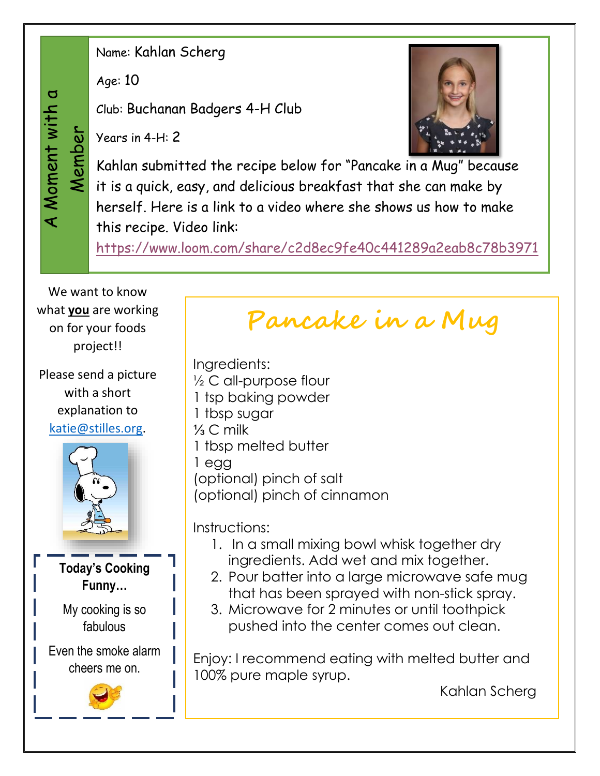# A Moment with a A Moment with a Member

Name: Kahlan Scherg

Age: 10

Club: Buchanan Badgers 4-H Club

Years in 4-H: 2



Kahlan submitted the recipe below for "Pancake in a Mug" because it is a quick, easy, and delicious breakfast that she can make by herself. Here is a link to a video where she shows us how to make this recipe. Video link:

<https://www.loom.com/share/c2d8ec9fe40c441289a2eab8c78b3971>

We want to know what **you** are working on for your foods project!!

Please send a picture with a short explanation to [katie@stilles.org.](mailto:katie@stilles.org)



**Today's Cooking Funny…**

My cooking is so fabulous

Even the smoke alarm cheers me on.



**Pancake in a Mug**

Ingredients: ½ C all-purpose flour 1 tsp baking powder 1 tbsp sugar ⅓ C milk 1 tbsp melted butter 1 egg (optional) pinch of salt (optional) pinch of cinnamon

Instructions:

- 1. In a small mixing bowl whisk together dry ingredients. Add wet and mix together.
- 2. Pour batter into a large microwave safe mug that has been sprayed with non-stick spray.
- 3. Microwave for 2 minutes or until toothpick pushed into the center comes out clean.

Enjoy: I recommend eating with melted butter and 100% pure maple syrup.

Kahlan Scherg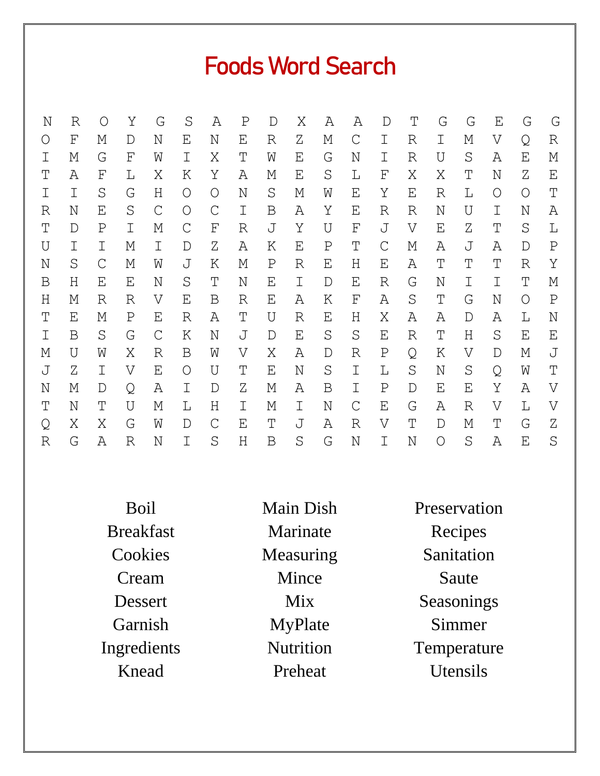## Foods Word Search

| Ν | R | O            | Υ | G            | S            | Α             | $\mathbf P$ | D | Χ | Α           | Α            | $\mathbb D$ | Т       | G           | G | Ε       | G | G           |
|---|---|--------------|---|--------------|--------------|---------------|-------------|---|---|-------------|--------------|-------------|---------|-------------|---|---------|---|-------------|
| Ő | F | М            | D | N            | Ε            | Ν             | Ε           | R | Ζ | М           | $\mathsf{C}$ | Ι           | R       | I           | М | V       | Q | $\mathbb R$ |
| Ι | М | G            | F | W            | I            | Χ             | $\mathbb T$ | W | Ε | G           | Ν            | $\mathbf I$ | R       | U           | S | Α       | Ε | М           |
| Т | Α | $\mathbf{F}$ | L | Χ            | Κ            | Υ             | A           | М | Ε | S           | L            | F           | Χ       | Χ           | Т | N       | Ζ | Ε           |
| Ι | Ι | S            | G | Η            | $\circ$      | $\circ$       | N           | S | М | W           | Ε            | Υ           | Ε       | R           | L | $\circ$ | O | Т           |
| R | N | Ε            | S | $\mathsf{C}$ | O            | C             | Ι           | Β | Α | Υ           | Ε            | R           | R       | N           | U | Ι       | N | Α           |
| Т | D | Ρ            | Ι | М            | $\mathsf{C}$ | F             | R           | J | Υ | U           | F            | J           | V       | Ε           | Ζ | Т       | S | L           |
| U | I | I            | М | Ι            | $\mathbb D$  | Ζ             | Α           | Κ | Ε | ${\rm P}$   | Τ            | С           | М       | Α           | J | Α       | D | $\mathbf P$ |
| Ν | S | C            | Μ | W            | J            | Κ             | М           | Ρ | R | Ε           | Η            | Ε           | Α       | T           | Т | Т       | R | Υ           |
| Β | Η | Ε            | Ε | N            | S            | Т             | Ν           | Ε | Ι | $\mathbb D$ | Ε            | R           | G       | N           | Ι | Ι       | Т | М           |
| Η | М | R            | R | V            | Ε            | Β             | R           | Ε | Α | Κ           | F            | Α           | S       | Т           | G | Ν       | O | $\mathbf P$ |
| Т | Ε | М            | Ρ | Ε            | R            | Α             | Т           | U | R | Ε           | Η            | Χ           | Α       | А           | D | А       | L | N           |
| Ι | B | S            | G | $\mathsf{C}$ | Κ            | Ν             | J           | D | Ε | S           | S            | Ε           | R       | Т           | Η | S       | Ε | Ε           |
| М | U | W            | Χ | R            | Β            | W             | V           | Χ | Α | D           | R            | $\mathbf P$ | Q       | Κ           | V | D       | М | J           |
| J | Ζ | I            | V | E            | O            | U             | Т           | E | N | S           | Ι            | L           | $\rm S$ | N           | S | Q       | W | Τ           |
| Ν | М | D            | Q | А            | Ι            | D             | Ζ           | М | Α | B           | Ι            | $\mathbf P$ | D       | Ε           | Е | Υ       | Α | V           |
| Т | N | Т            | U | М            | L            | Η             | Ι           | М | I | N           | $\mathsf{C}$ | Ε           | G       | Α           | R | V       | L | V           |
| Q | Χ | Χ            | G | W            | $\mathbb D$  | $\mathcal{C}$ | Ε           | Т | J | Α           | R            | V           | Т       | $\mathbb D$ | М | Т       | G | Ζ           |
| R | G | Α            | R | N            | I            | S             | H           | B | S | G           | N            | I           | N       | $\bigcirc$  | S | Α       | Ε | S           |

Breakfast Marinate Recipes

Cream Mince Saute

Boil Main Dish Preservation Cookies Measuring Sanitation Dessert Mix Seasonings Garnish MyPlate Simmer Ingredients Nutrition Temperature Knead Preheat Utensils